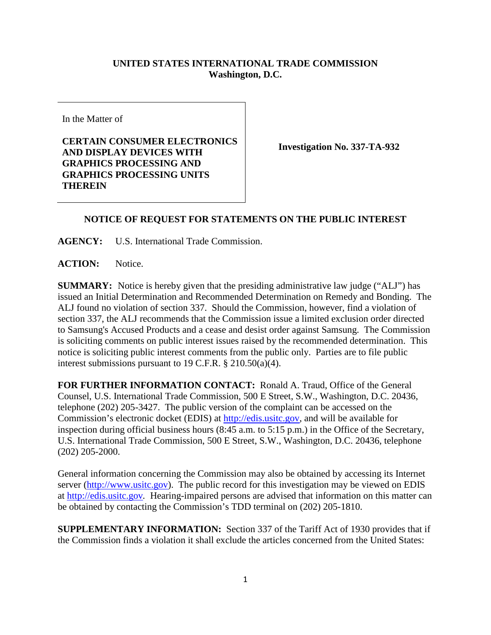## **UNITED STATES INTERNATIONAL TRADE COMMISSION Washington, D.C.**

In the Matter of

## **CERTAIN CONSUMER ELECTRONICS AND DISPLAY DEVICES WITH GRAPHICS PROCESSING AND GRAPHICS PROCESSING UNITS THEREIN**

**Investigation No. 337-TA-932**

## **NOTICE OF REQUEST FOR STATEMENTS ON THE PUBLIC INTEREST**

**AGENCY:** U.S. International Trade Commission.

ACTION: Notice.

**SUMMARY:** Notice is hereby given that the presiding administrative law judge ("ALJ") has issued an Initial Determination and Recommended Determination on Remedy and Bonding. The ALJ found no violation of section 337. Should the Commission, however, find a violation of section 337, the ALJ recommends that the Commission issue a limited exclusion order directed to Samsung's Accused Products and a cease and desist order against Samsung. The Commission is soliciting comments on public interest issues raised by the recommended determination. This notice is soliciting public interest comments from the public only. Parties are to file public interest submissions pursuant to 19 C.F.R. § 210.50(a)(4).

**FOR FURTHER INFORMATION CONTACT:** Ronald A. Traud, Office of the General Counsel, U.S. International Trade Commission, 500 E Street, S.W., Washington, D.C. 20436, telephone (202) 205-3427. The public version of the complaint can be accessed on the Commission's electronic docket (EDIS) at [http://edis.usitc.gov,](http://edis.usitc.gov/) and will be available for inspection during official business hours (8:45 a.m. to 5:15 p.m.) in the Office of the Secretary, U.S. International Trade Commission, 500 E Street, S.W., Washington, D.C. 20436, telephone (202) 205-2000.

General information concerning the Commission may also be obtained by accessing its Internet server [\(http://www.usitc.gov\)](http://www.usitc.gov/). The public record for this investigation may be viewed on EDIS at [http://edis.usitc.gov](http://edis.usitc.gov/)*.* Hearing-impaired persons are advised that information on this matter can be obtained by contacting the Commission's TDD terminal on (202) 205-1810.

**SUPPLEMENTARY INFORMATION:** Section 337 of the Tariff Act of 1930 provides that if the Commission finds a violation it shall exclude the articles concerned from the United States: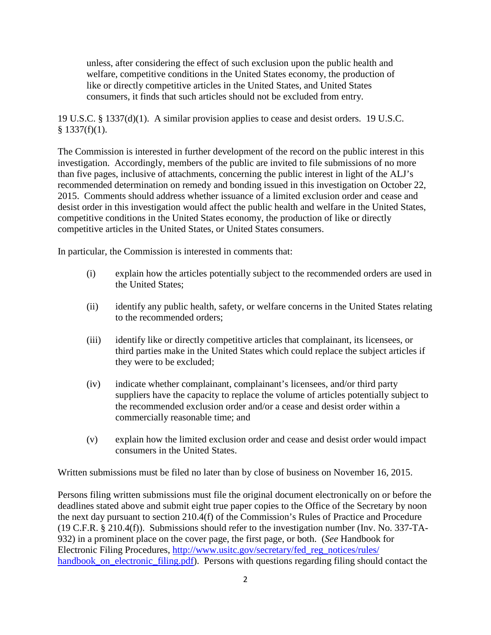unless, after considering the effect of such exclusion upon the public health and welfare, competitive conditions in the United States economy, the production of like or directly competitive articles in the United States, and United States consumers, it finds that such articles should not be excluded from entry.

19 U.S.C. § 1337(d)(1). A similar provision applies to cease and desist orders. 19 U.S.C.  $§$  1337(f)(1).

The Commission is interested in further development of the record on the public interest in this investigation. Accordingly, members of the public are invited to file submissions of no more than five pages, inclusive of attachments, concerning the public interest in light of the ALJ's recommended determination on remedy and bonding issued in this investigation on October 22, 2015. Comments should address whether issuance of a limited exclusion order and cease and desist order in this investigation would affect the public health and welfare in the United States, competitive conditions in the United States economy, the production of like or directly competitive articles in the United States, or United States consumers.

In particular, the Commission is interested in comments that:

- (i) explain how the articles potentially subject to the recommended orders are used in the United States;
- (ii) identify any public health, safety, or welfare concerns in the United States relating to the recommended orders;
- (iii) identify like or directly competitive articles that complainant, its licensees, or third parties make in the United States which could replace the subject articles if they were to be excluded;
- (iv) indicate whether complainant, complainant's licensees, and/or third party suppliers have the capacity to replace the volume of articles potentially subject to the recommended exclusion order and/or a cease and desist order within a commercially reasonable time; and
- (v) explain how the limited exclusion order and cease and desist order would impact consumers in the United States.

Written submissions must be filed no later than by close of business on November 16, 2015.

Persons filing written submissions must file the original document electronically on or before the deadlines stated above and submit eight true paper copies to the Office of the Secretary by noon the next day pursuant to section 210.4(f) of the Commission's Rules of Practice and Procedure (19 C.F.R. § 210.4(f)). Submissions should refer to the investigation number (Inv. No. 337-TA-932) in a prominent place on the cover page, the first page, or both. (*See* Handbook for Electronic Filing Procedures, [http://www.usitc.gov/secretary/fed\\_reg\\_notices/rules/](http://www.usitc.gov/secretary/fed_reg_notices/rules/handbook_on_electronic_filing.pdf) [handbook\\_on\\_electronic\\_filing.pdf\)](http://www.usitc.gov/secretary/fed_reg_notices/rules/handbook_on_electronic_filing.pdf). Persons with questions regarding filing should contact the